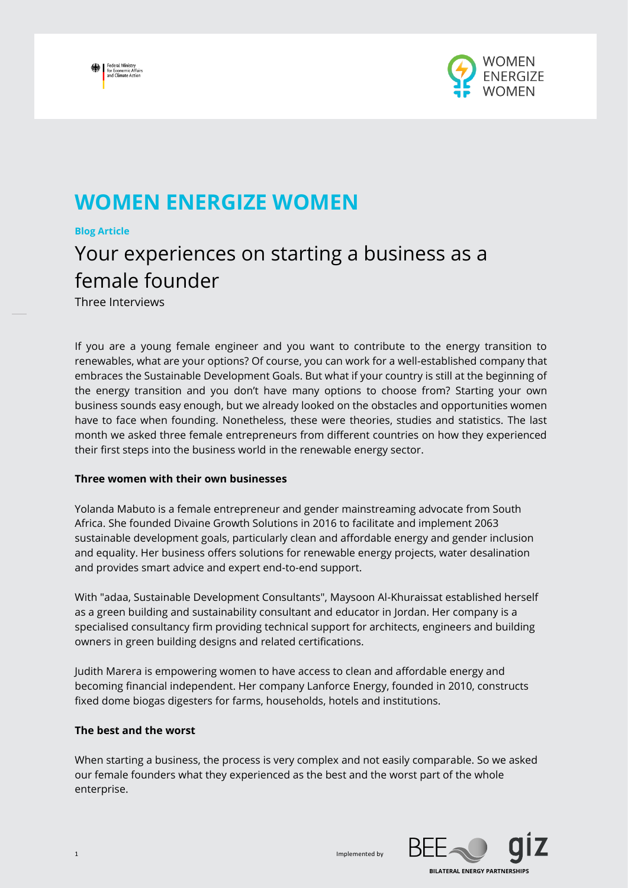



## **WOMEN ENERGIZE WOMEN**

#### **Blog Article**

# Your experiences on starting a business as a female founder

Three Interviews

If you are a young female engineer and you want to contribute to the energy transition to renewables, what are your options? Of course, you can work for a well-established company that embraces the Sustainable Development Goals. But what if your country is still at the beginning of the energy transition and you don't have many options to choose from? Starting your own business sounds easy enough, but we already looked on the obstacles and opportunities women have to face when founding. Nonetheless, these were theories, studies and statistics. The last month we asked three female entrepreneurs from different countries on how they experienced their first steps into the business world in the renewable energy sector.

### **Three women with their own businesses**

Yolanda Mabuto is a female entrepreneur and gender mainstreaming advocate from South Africa. She founded Divaine Growth Solutions in 2016 to facilitate and implement 2063 sustainable development goals, particularly clean and affordable energy and gender inclusion and equality. Her business offers solutions for renewable energy projects, water desalination and provides smart advice and expert end-to-end support.

With "adaa, Sustainable Development Consultants", Maysoon Al-Khuraissat established herself as a green building and sustainability consultant and educator in Jordan. Her company is a specialised consultancy firm providing technical support for architects, engineers and building owners in green building designs and related certifications.

Judith Marera is empowering women to have access to clean and affordable energy and becoming financial independent. Her company Lanforce Energy, founded in 2010, constructs fixed dome biogas digesters for farms, households, hotels and institutions.

### **The best and the worst**

When starting a business, the process is very complex and not easily comparable. So we asked our female founders what they experienced as the best and the worst part of the whole enterprise.

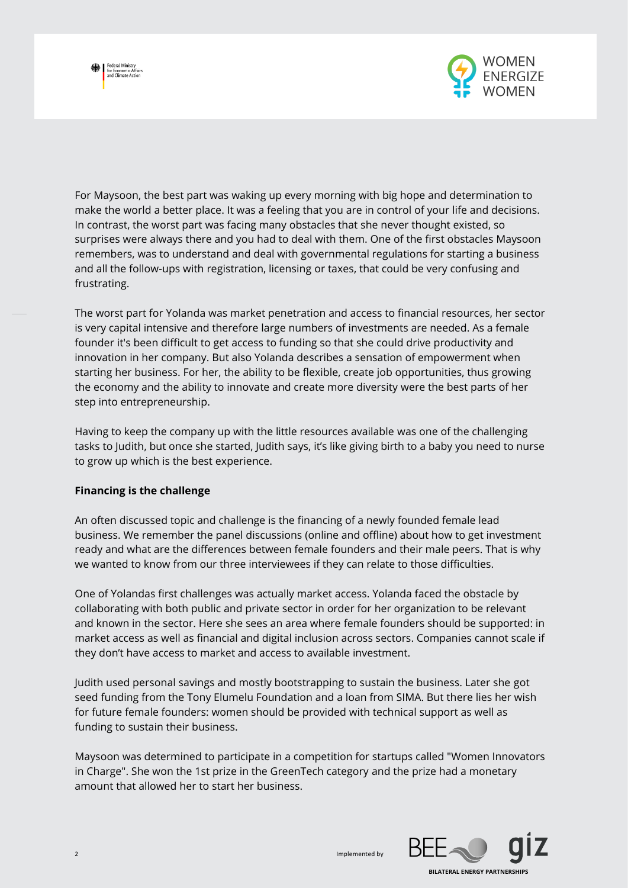



For Maysoon, the best part was waking up every morning with big hope and determination to make the world a better place. It was a feeling that you are in control of your life and decisions. In contrast, the worst part was facing many obstacles that she never thought existed, so surprises were always there and you had to deal with them. One of the first obstacles Maysoon remembers, was to understand and deal with governmental regulations for starting a business and all the follow-ups with registration, licensing or taxes, that could be very confusing and frustrating.

The worst part for Yolanda was market penetration and access to financial resources, her sector is very capital intensive and therefore large numbers of investments are needed. As a female founder it's been difficult to get access to funding so that she could drive productivity and innovation in her company. But also Yolanda describes a sensation of empowerment when starting her business. For her, the ability to be flexible, create job opportunities, thus growing the economy and the ability to innovate and create more diversity were the best parts of her step into entrepreneurship.

Having to keep the company up with the little resources available was one of the challenging tasks to Judith, but once she started, Judith says, it's like giving birth to a baby you need to nurse to grow up which is the best experience.

### **Financing is the challenge**

An often discussed topic and challenge is the financing of a newly founded female lead business. We remember the panel discussions (online and offline) about how to get investment ready and what are the differences between female founders and their male peers. That is why we wanted to know from our three interviewees if they can relate to those difficulties.

One of Yolandas first challenges was actually market access. Yolanda faced the obstacle by collaborating with both public and private sector in order for her organization to be relevant and known in the sector. Here she sees an area where female founders should be supported: in market access as well as financial and digital inclusion across sectors. Companies cannot scale if they don't have access to market and access to available investment.

Judith used personal savings and mostly bootstrapping to sustain the business. Later she got seed funding from the Tony Elumelu Foundation and a loan from SIMA. But there lies her wish for future female founders: women should be provided with technical support as well as funding to sustain their business.

Maysoon was determined to participate in a competition for startups called "Women Innovators in Charge". She won the 1st prize in the GreenTech category and the prize had a monetary amount that allowed her to start her business.